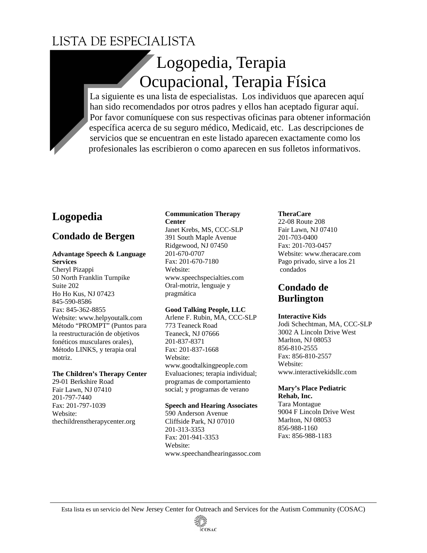# LISTA DE ESPECIALISTA

# Logopedia, Terapia Ocupacional, Terapia Física

La siguiente es una lista de especialistas. Los individuos que aparecen aquí han sido recomendados por otros padres y ellos han aceptado figurar aquí. Por favor comuníquese con sus respectivas oficinas para obtener información específica acerca de su seguro médico, Medicaid, etc. Las descripciones de servicios que se encuentran en este listado aparecen exactamente como los profesionales las escribieron o como aparecen en sus folletos informativos.

# **Logopedia**

# **Condado de Bergen**

### **Advantage Speech & Language**

**Services**  Cheryl Pizappi 50 North Franklin Turnpike Suite 202 Ho Ho Kus, NJ 07423 845-590-8586 Fax: 845-362-8855 Website: www.helpyoutalk.com Método "PROMPT" (Puntos para la reestructuración de objetivos fonéticos musculares orales), Método LINKS, y terapia oral motriz.

### **The Children's Therapy Center**

29-01 Berkshire Road Fair Lawn, NJ 07410 201-797-7440 Fax: 201-797-1039 Website: thechildrenstherapycenter.org

### **Communication Therapy Center**

Janet Krebs, MS, CCC-SLP 391 South Maple Avenue Ridgewood, NJ 07450 201-670-0707 Fax: 201-670-7180 Website: www.speechspecialties.com Oral-motriz, lenguaje y pragmática

### **Good Talking People, LLC**

Arlene F. Rubin, MA, CCC-SLP 773 Teaneck Road Teaneck, NJ 07666 201-837-8371 Fax: 201-837-1668 Website: www.goodtalkingpeople.com Evaluaciones; terapia individual; programas de comportamiento social; y programas de verano

### **Speech and Hearing Associates**

590 Anderson Avenue Cliffside Park, NJ 07010 201-313-3353 Fax: 201-941-3353 Website: www.speechandhearingassoc.com

### **TheraCare**

22-08 Route 208 Fair Lawn, NJ 07410 201-703-0400 Fax: 201-703-0457 Website: www.theracare.com Pago privado, sirve a los 21 condados

# **Condado de Burlington**

### **Interactive Kids**

Jodi Schechtman, MA, CCC-SLP 3002 A Lincoln Drive West Marlton, NJ 08053 856-810-2555 Fax: 856-810-2557 Website: www.interactivekidsllc.com

# **Mary's Place Pediatric**

**Rehab, Inc.**  Tara Montague 9004 F Lincoln Drive West Marlton, NJ 08053 856-988-1160 Fax: 856-988-1183

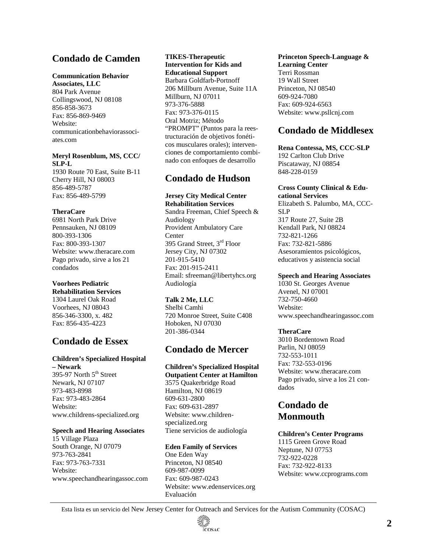# **Condado de Camden**

#### **Communication Behavior**

**Associates, LLC**  804 Park Avenue Collingswood, NJ 08108 856-858-3673 Fax: 856-869-9469 Website: communicationbehaviorassociates.com

### **Meryl Rosenblum, MS, CCC/ SLP-L**

1930 Route 70 East, Suite B-11 Cherry Hill, NJ 08003 856-489-5787 Fax: 856-489-5799

### **TheraCare**

6981 North Park Drive Pennsauken, NJ 08109 800-393-1306 Fax: 800-393-1307 Website: www.theracare.com Pago privado, sirve a los 21 condados

### **Voorhees Pediatric**

**Rehabilitation Services**  1304 Laurel Oak Road Voorhees, NJ 08043 856-346-3300, x. 482 Fax: 856-435-4223

# **Condado de Essex**

### **Children's Specialized Hospital**

**– Newark**  395-97 North 5<sup>th</sup> Street Newark, NJ 07107 973-483-8998 Fax: 973-483-2864 Website: www.childrens-specialized.org

#### **Speech and Hearing Associates**

15 Village Plaza South Orange, NJ 07079 973-763-2841 Fax: 973-763-7331 Website: www.speechandhearingassoc.com

#### **TIKES-Therapeutic Intervention for Kids and Educational Support**  Barbara Goldfarb-Portnoff 206 Millburn Avenue, Suite 11A Millburn, NJ 07011 973-376-5888 Fax: 973-376-0115 Oral Motriz; Método "PROMPT" (Puntos para la reestructuración de objetivos fonéticos musculares orales); intervenciones de comportamiento combinado con enfoques de desarrollo

# **Condado de Hudson**

### **Jersey City Medical Center**

**Rehabilitation Services**  Sandra Freeman, Chief Speech & Audiology Provident Ambulatory Care **Center** 395 Grand Street, 3rd Floor Jersey City, NJ 07302 201-915-5410 Fax: 201-915-2411 Email: sfreeman@libertyhcs.org Audiología

### **Talk 2 Me, LLC**

Shelbi Camhi 720 Monroe Street, Suite C408 Hoboken, NJ 07030 201-386-0344

# **Condado de Mercer**

### **Children's Specialized Hospital**

**Outpatient Center at Hamilton**  3575 Quakerbridge Road Hamilton, NJ 08619 609-631-2800 Fax: 609-631-2897 Website: www.childrenspecialized.org Tiene servicios de audiología

### **Eden Family of Services**

One Eden Way Princeton, NJ 08540 609-987-0099 Fax: 609-987-0243 Website: www.edenservices.org Evaluación

#### **Princeton Speech-Language & Learning Center**  Terri Rossman 19 Wall Street Princeton, NJ 08540

609-924-7080 Fax: 609-924-6563 Website: www.psllcnj.com

### **Condado de Middlesex**

#### **Rena Contessa, MS, CCC-SLP**  192 Carlton Club Drive Piscataway, NJ 08854 848-228-0159

#### **Cross County Clinical & Educational Services**

Elizabeth S. Palumbo, MA, CCC-SLP 317 Route 27, Suite 2B Kendall Park, NJ 08824 732-821-1266 Fax: 732-821-5886 Asesoramientos psicológicos, educativos y asistencia social

#### **Speech and Hearing Associates**

1030 St. Georges Avenue Avenel, NJ 07001 732-750-4660 Website: www.speechandhearingassoc.com

### **TheraCare**

3010 Bordentown Road Parlin, NJ 08059 732-553-1011 Fax: 732-553-0196 Website: www.theracare.com Pago privado, sirve a los 21 condados

### **Condado de Monmouth**

### **Children's Center Programs**

1115 Green Grove Road Neptune, NJ 07753 732-922-0228 Fax: 732-922-8133 Website: www.ccprograms.com

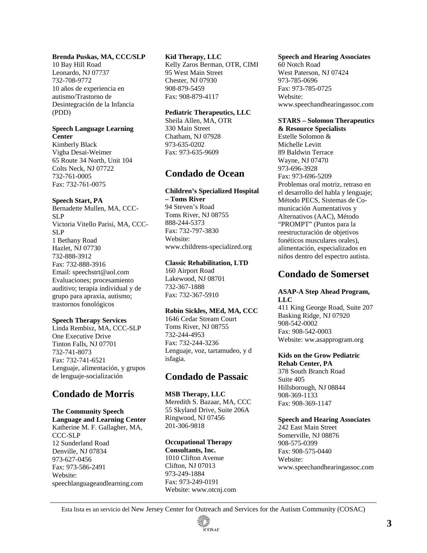### **Brenda Puskas, MA, CCC/SLP**

10 Bay Hill Road Leonardo, NJ 07737 732-708-9772 10 años de experiencia en autismo/Trastorno de Desintegración de la Infancia (PDD)

### **Speech Language Learning Center**

Kimberly Black Vigha Desai-Weimer 65 Route 34 North, Unit 104 Colts Neck, NJ 07722 732-761-0005 Fax: 732-761-0075

### **Speech Start, PA**

Bernadette Mullen, MA, CCC-SLP Victoria Vitello Parisi, MA, CCC-SLP 1 Bethany Road Hazlet, NJ 07730 732-888-3912 Fax: 732-888-3916 Email: speechstrt@aol.com Evaluaciones; procesamiento auditivo; terapia individual y de grupo para apraxia, autismo; trastornos fonológicos

#### **Speech Therapy Services**

Linda Rembisz, MA, CCC-SLP One Executive Drive Tinton Falls, NJ 07701 732-741-8073 Fax: 732-741-6521 Lenguaje, alimentación, y grupos de lenguaje-socialización

### **Condado de Morris**

**The Community Speech Language and Learning Center**  Katherine M. F. Gallagher, MA, CCC-SLP 12 Sunderland Road Denville, NJ 07834 973-627-0456 Fax: 973-586-2491 Website: speechlanguageandlearning.com

#### **Kid Therapy, LLC**

Kelly Zaros Berman, OTR, CIMI 95 West Main Street Chester, NJ 07930 908-879-5459 Fax: 908-879-4117

#### **Pediatric Therapeutics, LLC**

Sheila Allen, MA, OTR 330 Main Street Chatham, NJ 07928 973-635-0202 Fax: 973-635-9609

### **Condado de Ocean**

#### **Children's Specialized Hospital – Toms River**

94 Steven's Road Toms River, NJ 08755 888-244-5373 Fax: 732-797-3830 Website: www.childrens-specialized.org

#### **Classic Rehabilitation, LTD**

160 Airport Road Lakewood, NJ 08701 732-367-1888 Fax: 732-367-5910

#### **Robin Sickles, MEd, MA, CCC**

1646 Cedar Stream Court Toms River, NJ 08755 732-244-4953 Fax: 732-244-3236 Lenguaje, voz, tartamudeo, y d isfagia.

### **Condado de Passaic**

**MSB Therapy, LLC**  Meredith S. Bazaar, MA, CCC 55 Skyland Drive, Suite 206A Ringwood, NJ 07456 201-306-9818

#### **Occupational Therapy**

**Consultants, Inc.**  1010 Clifton Avenue Clifton, NJ 07013 973-249-1884 Fax: 973-249-0191 Website: www.otcnj.com

#### **Speech and Hearing Associates**

60 Notch Road West Paterson, NJ 07424 973-785-0696 Fax: 973-785-0725 Website: www.speechandhearingassoc.com

#### **STARS – Solomon Therapeutics & Resource Specialists**

Estelle Solomon & Michelle Levitt 89 Baldwin Terrace Wayne, NJ 07470 973-696-3928 Fax: 973-696-5209 Problemas oral motriz, retraso en el desarrollo del habla y lenguaje; Método PECS, Sistemas de Comunicación Aumentativos y Alternativos (AAC), Método "PROMPT" (Puntos para la reestructuración de objetivos fonéticos musculares orales), alimentación, especializados en niños dentro del espectro autista.

### **Condado de Somerset**

#### **ASAP-A Step Ahead Program, LLC**

411 King George Road, Suite 207 Basking Ridge, NJ 07920 908-542-0002 Fax: 908-542-0003 Website: ww.asapprogram.org

### **Kids on the Grow Pediatric**

**Rehab Center, PA**  378 South Branch Road Suite 405 Hillsborough, NJ 08844 908-369-1133 Fax: 908-369-1147

#### **Speech and Hearing Associates**

242 East Main Street Somerville, NJ 08876 908-575-0399 Fax: 908-575-0440 Website: www.speechandhearingassoc.com

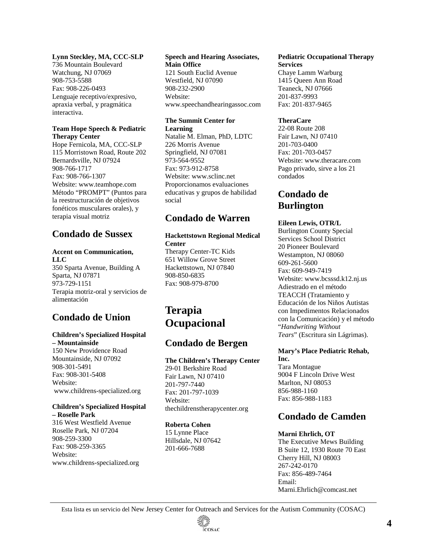### **Lynn Steckley, MA, CCC-SLP**

736 Mountain Boulevard Watchung, NJ 07069 908-753-5588 Fax: 908-226-0493 Lenguaje receptivo/expresivo, apraxia verbal, y pragmática interactiva.

#### **Team Hope Speech & Pediatric Therapy Center**

Hope Fernicola, MA, CCC-SLP 115 Morristown Road, Route 202 Bernardsville, NJ 07924 908-766-1717 Fax: 908-766-1307 Website: www.teamhope.com Método "PROMPT" (Puntos para la reestructuración de objetivos fonéticos musculares orales), y terapia visual motriz

### **Condado de Sussex**

### **Accent on Communication, LLC**

350 Sparta Avenue, Building A Sparta, NJ 07871 973-729-1151 Terapia motriz-oral y servicios de alimentación

# **Condado de Union**

# **Children's Specialized Hospital**

**– Mountainside**  150 New Providence Road Mountainside, NJ 07092 908-301-5491 Fax: 908-301-5408 Website: www.childrens-specialized.org

#### **Children's Specialized Hospital – Roselle Park**

316 West Westfield Avenue Roselle Park, NJ 07204 908-259-3300 Fax: 908-259-3365 Website: www.childrens-specialized.org

#### **Speech and Hearing Associates, Main Office**

121 South Euclid Avenue Westfield, NJ 07090 908-232-2900 Website: www.speechandhearingassoc.com

### **The Summit Center for Learning**

Natalie M. Elman, PhD, LDTC 226 Morris Avenue Springfield, NJ 07081 973-564-9552 Fax: 973-912-8758 Website: www.sclinc.net Proporcionamos evaluaciones educativas y grupos de habilidad social

# **Condado de Warren**

### **Hackettstown Regional Medical Center**

Therapy Center-TC Kids 651 Willow Grove Street Hackettstown, NJ 07840 908-850-6835 Fax: 908-979-8700

# **Terapia Ocupacional**

### **Condado de Bergen**

### **The Children's Therapy Center**

29-01 Berkshire Road Fair Lawn, NJ 07410 201-797-7440 Fax: 201-797-1039 Website: thechildrenstherapycenter.org

#### **Roberta Cohen**

15 Lynne Place Hillsdale, NJ 07642 201-666-7688

#### **Pediatric Occupational Therapy Services**

Chaye Lamm Warburg 1415 Queen Ann Road Teaneck, NJ 07666 201-837-9993 Fax: 201-837-9465

### **TheraCare**

22-08 Route 208 Fair Lawn, NJ 07410 201-703-0400 Fax: 201-703-0457 Website: www.theracare.com Pago privado, sirve a los 21 condados

# **Condado de Burlington**

### **Eileen Lewis, OTR/L**

Burlington County Special Services School District 20 Pioneer Boulevard Westampton, NJ 08060 609-261-5600 Fax: 609-949-7419 Website: www.bcsssd.k12.nj.us Adiestrado en el método TEACCH (Tratamiento y Educación de los Niños Autistas con Impedimentos Relacionados con la Comunicación) y el método "*Handwriting Without Tears*" (Escritura sin Lágrimas).

### **Mary's Place Pediatric Rehab, Inc.**

Tara Montague 9004 F Lincoln Drive West Marlton, NJ 08053 856-988-1160 Fax: 856-988-1183

### **Condado de Camden**

### **Marni Ehrlich, OT**

The Executive Mews Building B Suite 12, 1930 Route 70 East Cherry Hill, NJ 08003 267-242-0170 Fax: 856-489-7464 Email: Marni.Ehrlich@comcast.net

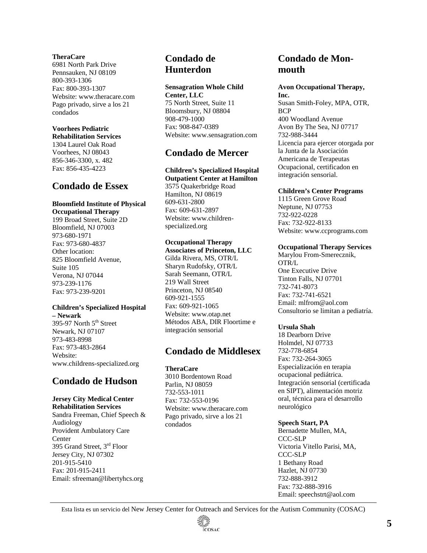#### **TheraCare**

6981 North Park Drive Pennsauken, NJ 08109 800-393-1306 Fax: 800-393-1307 Website: www.theracare.com Pago privado, sirve a los 21 condados

### **Voorhees Pediatric**

**Rehabilitation Services**  1304 Laurel Oak Road Voorhees, NJ 08043 856-346-3300, x. 482 Fax: 856-435-4223

### **Condado de Essex**

### **Bloomfield Institute of Physical**

**Occupational Therapy**  199 Broad Street, Suite 2D Bloomfield, NJ 07003 973-680-1971 Fax: 973-680-4837 Other location: 825 Bloomfield Avenue, Suite 105 Verona, NJ 07044 973-239-1176 Fax: 973-239-9201

#### **Children's Specialized Hospital – Newark**

395-97 North 5<sup>th</sup> Street Newark, NJ 07107 973-483-8998 Fax: 973-483-2864 Website: www.childrens-specialized.org

### **Condado de Hudson**

#### **Jersey City Medical Center Rehabilitation Services**

Sandra Freeman, Chief Speech & Audiology Provident Ambulatory Care Center 395 Grand Street, 3rd Floor Jersey City, NJ 07302 201-915-5410 Fax: 201-915-2411 Email: sfreeman@libertyhcs.org

### **Condado de Hunterdon**

#### **Sensagration Whole Child Center, LLC**

75 North Street, Suite 11 Bloomsbury, NJ 08804 908-479-1000 Fax: 908-847-0389 Website: www.sensagration.com

# **Condado de Mercer**

### **Children's Specialized Hospital**

**Outpatient Center at Hamilton**  3575 Quakerbridge Road Hamilton, NJ 08619 609-631-2800 Fax: 609-631-2897 Website: www.childrenspecialized.org

### **Occupational Therapy**

**Associates of Princeton, LLC**  Gilda Rivera, MS, OTR/L Sharyn Rudofsky, OTR/L Sarah Seemann, OTR/L 219 Wall Street Princeton, NJ 08540 609-921-1555 Fax: 609-921-1065 Website: www.otap.net Métodos ABA, DIR Floortime e integración sensorial

### **Condado de Middlesex**

**TheraCare** 

3010 Bordentown Road Parlin, NJ 08059 732-553-1011 Fax: 732-553-0196 Website: www.theracare.com Pago privado, sirve a los 21 condados

### **Condado de Monmouth**

#### **Avon Occupational Therapy, Inc.**

Susan Smith-Foley, MPA, OTR, **BCP** 400 Woodland Avenue Avon By The Sea, NJ 07717 732-988-3444 Licencia para ejercer otorgada por la Junta de la Asociación Americana de Terapeutas Ocupacional, certificadon en integración sensorial.

#### **Children's Center Programs**

1115 Green Grove Road Neptune, NJ 07753 732-922-0228 Fax: 732-922-8133 Website: www.ccprograms.com

#### **Occupational Therapy Services**

Marylou From-Smerecznik, OTR/L One Executive Drive Tinton Falls, NJ 07701 732-741-8073 Fax: 732-741-6521 Email: mlfrom@aol.com Consultorio se limitan a pediatría.

#### **Ursula Shah**

18 Dearborn Drive Holmdel, NJ 07733 732-778-6854 Fax: 732-264-3065 Especialización en terapia ocupacional pediátrica. Integración sensorial (certificada en SIPT), alimentación motriz oral, técnica para el desarrollo neurológico

#### **Speech Start, PA**

Bernadette Mullen, MA, CCC-SLP Victoria Vitello Parisi, MA, CCC-SLP 1 Bethany Road Hazlet, NJ 07730 732-888-3912 Fax: 732-888-3916 Email: speechstrt@aol.com

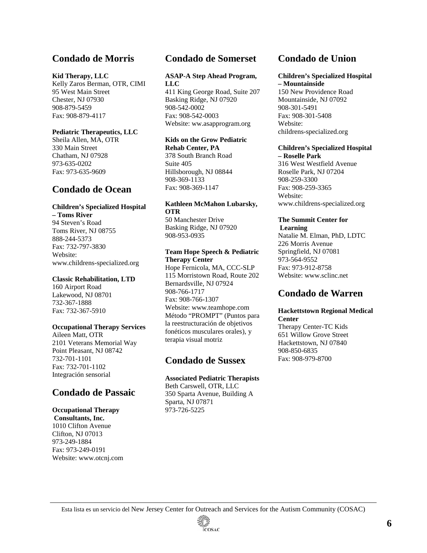# **Condado de Morris**

#### **Kid Therapy, LLC**

Kelly Zaros Berman, OTR, CIMI 95 West Main Street Chester, NJ 07930 908-879-5459 Fax: 908-879-4117

### **Pediatric Therapeutics, LLC**

Sheila Allen, MA, OTR 330 Main Street Chatham, NJ 07928 973-635-0202 Fax: 973-635-9609

# **Condado de Ocean**

### **Children's Specialized Hospital**

**– Toms River**  94 Steven's Road Toms River, NJ 08755 888-244-5373 Fax: 732-797-3830 Website: www.childrens-specialized.org

#### **Classic Rehabilitation, LTD**

160 Airport Road Lakewood, NJ 08701 732-367-1888 Fax: 732-367-5910

### **Occupational Therapy Services**

Aileen Matt, OTR 2101 Veterans Memorial Way Point Pleasant, NJ 08742 732-701-1101 Fax: 732-701-1102 Integración sensorial

# **Condado de Passaic**

# **Occupational Therapy**

 **Consultants, Inc.**  1010 Clifton Avenue Clifton, NJ 07013 973-249-1884 Fax: 973-249-0191 Website: www.otcnj.com

# **Condado de Somerset**

#### **ASAP-A Step Ahead Program, LLC**

411 King George Road, Suite 207 Basking Ridge, NJ 07920 908-542-0002 Fax: 908-542-0003 Website: ww.asapprogram.org

#### **Kids on the Grow Pediatric Rehab Center, PA**

378 South Branch Road Suite 405 Hillsborough, NJ 08844 908-369-1133 Fax: 908-369-1147

### **Kathleen McMahon Lubarsky, OTR**

50 Manchester Drive Basking Ridge, NJ 07920 908-953-0935

#### **Team Hope Speech & Pediatric Therapy Center**

Hope Fernicola, MA, CCC-SLP 115 Morristown Road, Route 202 Bernardsville, NJ 07924 908-766-1717 Fax: 908-766-1307 Website: www.teamhope.com Método "PROMPT" (Puntos para la reestructuración de objetivos fonéticos musculares orales), y terapia visual motriz

### **Condado de Sussex**

### **Associated Pediatric Therapists**

Beth Carswell, OTR, LLC 350 Sparta Avenue, Building A Sparta, NJ 07871 973-726-5225

# **Condado de Union**

#### **Children's Specialized Hospital – Mountainside**

150 New Providence Road Mountainside, NJ 07092 908-301-5491 Fax: 908-301-5408 Website: childrens-specialized.org

#### **Children's Specialized Hospital – Roselle Park**

316 West Westfield Avenue Roselle Park, NJ 07204 908-259-3300 Fax: 908-259-3365 Website: www.childrens-specialized.org

# **The Summit Center for**

 **Learning**  Natalie M. Elman, PhD, LDTC 226 Morris Avenue Springfield, NJ 07081 973-564-9552 Fax: 973-912-8758 Website: www.sclinc.net

### **Condado de Warren**

#### **Hackettstown Regional Medical Center**

Therapy Center-TC Kids 651 Willow Grove Street Hackettstown, NJ 07840 908-850-6835 Fax: 908-979-8700

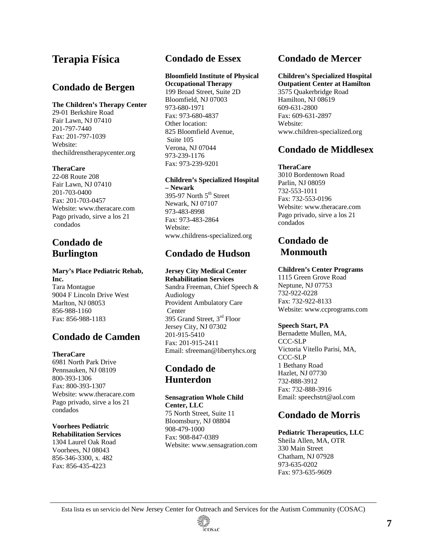# **Terapia Física**

### **Condado de Bergen**

### **The Children's Therapy Center**

29-01 Berkshire Road Fair Lawn, NJ 07410 201-797-7440 Fax: 201-797-1039 Website: thechildrenstherapycenter.org

### **TheraCare**

22-08 Route 208 Fair Lawn, NJ 07410 201-703-0400 Fax: 201-703-0457 Website: www.theracare.com Pago privado, sirve a los 21 condados

# **Condado de Burlington**

### **Mary's Place Pediatric Rehab, Inc.**  Tara Montague

9004 F Lincoln Drive West Marlton, NJ 08053 856-988-1160 Fax: 856-988-1183

# **Condado de Camden**

### **TheraCare**

6981 North Park Drive Pennsauken, NJ 08109 800-393-1306 Fax: 800-393-1307 Website: www.theracare.com Pago privado, sirve a los 21 condados

# **Voorhees Pediatric**

**Rehabilitation Services**  1304 Laurel Oak Road Voorhees, NJ 08043 856-346-3300, x. 482 Fax: 856-435-4223

# **Condado de Essex**

#### **Bloomfield Institute of Physical Occupational Therapy**

199 Broad Street, Suite 2D Bloomfield, NJ 07003 973-680-1971 Fax: 973-680-4837 Other location: 825 Bloomfield Avenue, Suite 105 Verona, NJ 07044 973-239-1176 Fax: 973-239-9201

### **Children's Specialized Hospital – Newark**

395-97 North  $5<sup>th</sup>$  Street Newark, NJ 07107 973-483-8998 Fax: 973-483-2864 Website: www.childrens-specialized.org

# **Condado de Hudson**

### **Jersey City Medical Center**

**Rehabilitation Services**  Sandra Freeman, Chief Speech & Audiology Provident Ambulatory Care Center 395 Grand Street, 3rd Floor Jersey City, NJ 07302 201-915-5410 Fax: 201-915-2411 Email: sfreeman@libertyhcs.org

# **Condado de Hunterdon**

### **Sensagration Whole Child Center, LLC**

75 North Street, Suite 11 Bloomsbury, NJ 08804 908-479-1000 Fax: 908-847-0389 Website: www.sensagration.com

# **Condado de Mercer**

# **Children's Specialized Hospital**

**Outpatient Center at Hamilton**  3575 Quakerbridge Road Hamilton, NJ 08619 609-631-2800 Fax: 609-631-2897 Website: www.children-specialized.org

### **Condado de Middlesex**

### **TheraCare**

3010 Bordentown Road Parlin, NJ 08059 732-553-1011 Fax: 732-553-0196 Website: www.theracare.com Pago privado, sirve a los 21 condados

# **Condado de Monmouth**

### **Children's Center Programs**

1115 Green Grove Road Neptune, NJ 07753 732-922-0228 Fax: 732-922-8133 Website: www.ccprograms.com

### **Speech Start, PA**

Bernadette Mullen, MA, CCC-SLP Victoria Vitello Parisi, MA, CCC-SLP 1 Bethany Road Hazlet, NJ 07730 732-888-3912 Fax: 732-888-3916 Email: speechstrt@aol.com

# **Condado de Morris**

#### **Pediatric Therapeutics, LLC**  Sheila Allen, MA, OTR 330 Main Street Chatham, NJ 07928 973-635-0202 Fax: 973-635-9609